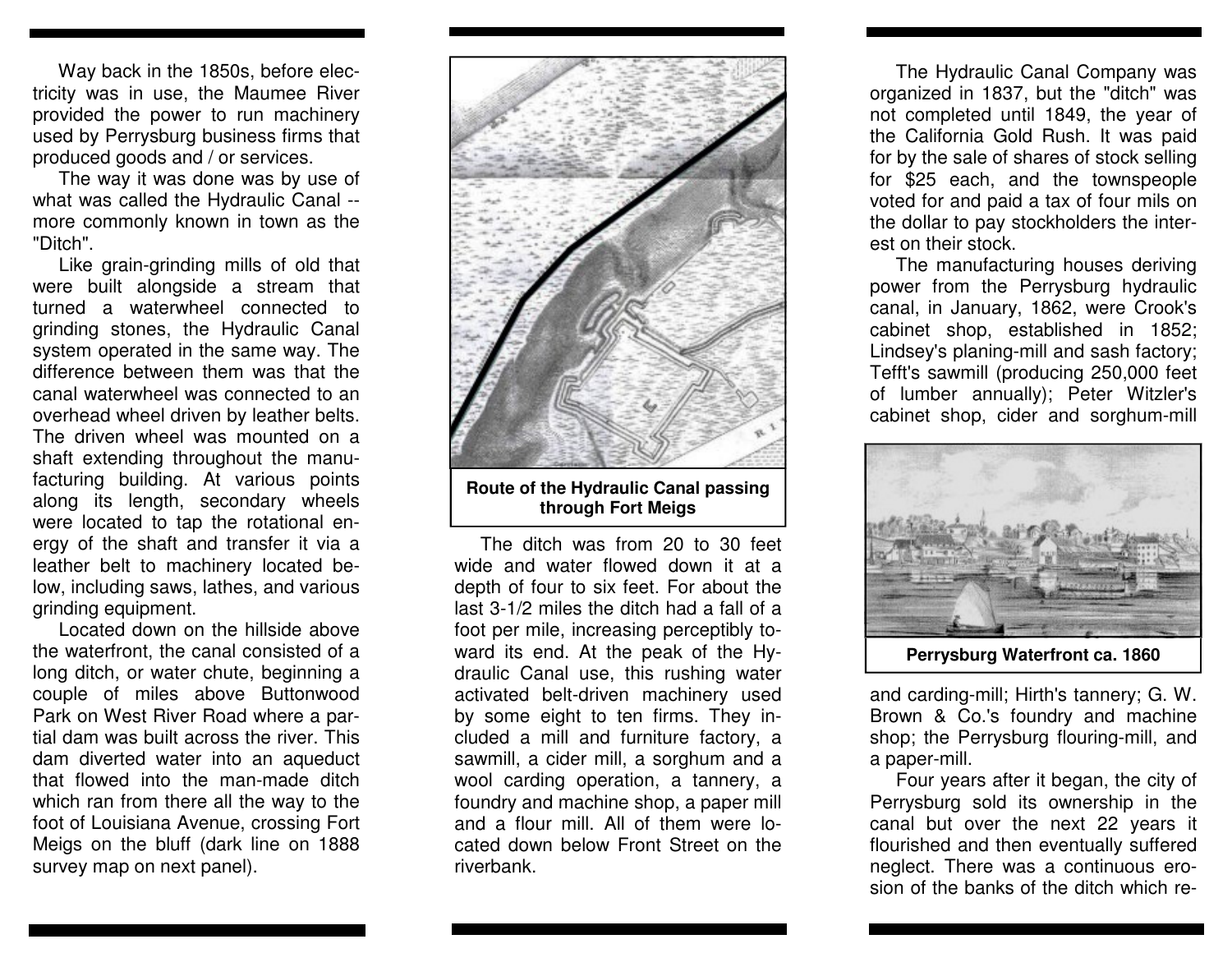Way back in the 1850s, before electricity was in use, the Maumee River provided the power to run machinery used by Perrysburg business firms that produced goods and / or services.

 The way it was done was by use of what was called the Hydraulic Canal - more commonly known in town as the "Ditch".

 Like grain-grinding mills of old that were built alongside a stream that turned a waterwheel connected to grinding stones, the Hydraulic Canal system operated in the same way. The difference between them was that the canal waterwheel was connected to an overhead wheel driven by leather belts. The driven wheel was mounted on a shaft extending throughout the manufacturing building. At various points along its length, secondary wheels were located to tap the rotational energy of the shaft and transfer it via a leather belt to machinery located below, including saws, lathes, and various grinding equipment.

 Located down on the hillside above the waterfront, the canal consisted of a long ditch, or water chute, beginning a couple of miles above Buttonwood Park on West River Road where a partial dam was built across the river. This dam diverted water into an aqueduct that flowed into the man-made ditch which ran from there all the way to the foot of Louisiana Avenue, crossing Fort Meigs on the bluff (dark line on 1888 survey map on next panel).



**Route of the Hydraulic Canal passing through Fort Meigs** 

 The ditch was from 20 to 30 feet wide and water flowed down it at a depth of four to six feet. For about the last 3-1/2 miles the ditch had a fall of a foot per mile, increasing perceptibly toward its end. At the peak of the Hydraulic Canal use, this rushing water activated belt-driven machinery used by some eight to ten firms. They included a mill and furniture factory, a sawmill, a cider mill, a sorghum and a wool carding operation, a tannery, a foundry and machine shop, a paper mill and a flour mill. All of them were located down below Front Street on the riverbank.

 The Hydraulic Canal Company was organized in 1837, but the "ditch" was not completed until 1849, the year of the California Gold Rush. It was paid for by the sale of shares of stock selling for \$25 each, and the townspeople voted for and paid a tax of four mils on the dollar to pay stockholders the interest on their stock.

 The manufacturing houses deriving power from the Perrysburg hydraulic canal, in January, 1862, were Crook's cabinet shop, established in 1852; Lindsey's planing-mill and sash factory; Tefft's sawmill (producing 250,000 feet of lumber annually); Peter Witzler's cabinet shop, cider and sorghum-mill



**Perrysburg Waterfront ca. 1860** 

and carding-mill; Hirth's tannery; G. W. Brown & Co.'s foundry and machine shop; the Perrysburg flouring-mill, and a paper-mill.

 Four years after it began, the city of Perrysburg sold its ownership in the canal but over the next 22 years it flourished and then eventually suffered neglect. There was a continuous erosion of the banks of the ditch which re